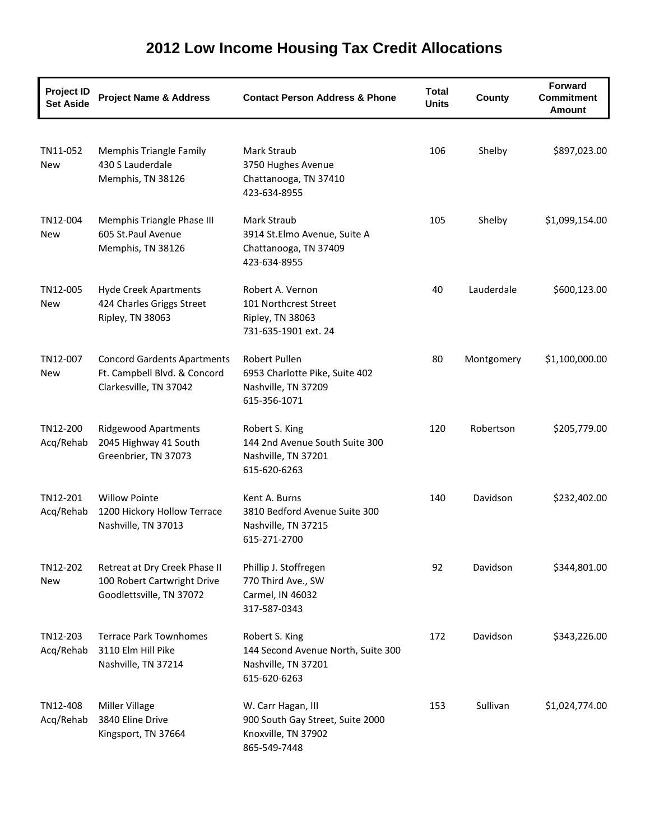| <b>Project ID</b><br><b>Set Aside</b> | <b>Project Name &amp; Address</b>                                                            | <b>Contact Person Address &amp; Phone</b>                                                     | <b>Total</b><br><b>Units</b> | County     | <b>Forward</b><br><b>Commitment</b><br>Amount |
|---------------------------------------|----------------------------------------------------------------------------------------------|-----------------------------------------------------------------------------------------------|------------------------------|------------|-----------------------------------------------|
| TN11-052<br>New                       | <b>Memphis Triangle Family</b><br>430 S Lauderdale<br>Memphis, TN 38126                      | Mark Straub<br>3750 Hughes Avenue<br>Chattanooga, TN 37410<br>423-634-8955                    | 106                          | Shelby     | \$897,023.00                                  |
| TN12-004<br>New                       | Memphis Triangle Phase III<br>605 St.Paul Avenue<br>Memphis, TN 38126                        | Mark Straub<br>3914 St.Elmo Avenue, Suite A<br>Chattanooga, TN 37409<br>423-634-8955          | 105                          | Shelby     | \$1,099,154.00                                |
| TN12-005<br>New                       | <b>Hyde Creek Apartments</b><br>424 Charles Griggs Street<br>Ripley, TN 38063                | Robert A. Vernon<br>101 Northcrest Street<br>Ripley, TN 38063<br>731-635-1901 ext. 24         | 40                           | Lauderdale | \$600,123.00                                  |
| TN12-007<br>New                       | <b>Concord Gardents Apartments</b><br>Ft. Campbell Blvd. & Concord<br>Clarkesville, TN 37042 | Robert Pullen<br>6953 Charlotte Pike, Suite 402<br>Nashville, TN 37209<br>615-356-1071        | 80                           | Montgomery | \$1,100,000.00                                |
| TN12-200<br>Acq/Rehab                 | <b>Ridgewood Apartments</b><br>2045 Highway 41 South<br>Greenbrier, TN 37073                 | Robert S. King<br>144 2nd Avenue South Suite 300<br>Nashville, TN 37201<br>615-620-6263       | 120                          | Robertson  | \$205,779.00                                  |
| TN12-201<br>Acq/Rehab                 | <b>Willow Pointe</b><br>1200 Hickory Hollow Terrace<br>Nashville, TN 37013                   | Kent A. Burns<br>3810 Bedford Avenue Suite 300<br>Nashville, TN 37215<br>615-271-2700         | 140                          | Davidson   | \$232,402.00                                  |
| TN12-202<br>New                       | Retreat at Dry Creek Phase II<br>100 Robert Cartwright Drive<br>Goodlettsville, TN 37072     | Phillip J. Stoffregen<br>770 Third Ave., SW<br>Carmel, IN 46032<br>317-587-0343               | 92                           | Davidson   | \$344,801.00                                  |
| TN12-203<br>Acq/Rehab                 | <b>Terrace Park Townhomes</b><br>3110 Elm Hill Pike<br>Nashville, TN 37214                   | Robert S. King<br>144 Second Avenue North, Suite 300<br>Nashville, TN 37201<br>615-620-6263   | 172                          | Davidson   | \$343,226.00                                  |
| TN12-408<br>Acq/Rehab                 | <b>Miller Village</b><br>3840 Eline Drive<br>Kingsport, TN 37664                             | W. Carr Hagan, III<br>900 South Gay Street, Suite 2000<br>Knoxville, TN 37902<br>865-549-7448 | 153                          | Sullivan   | \$1,024,774.00                                |

## **2012 Low Income Housing Tax Credit Allocations**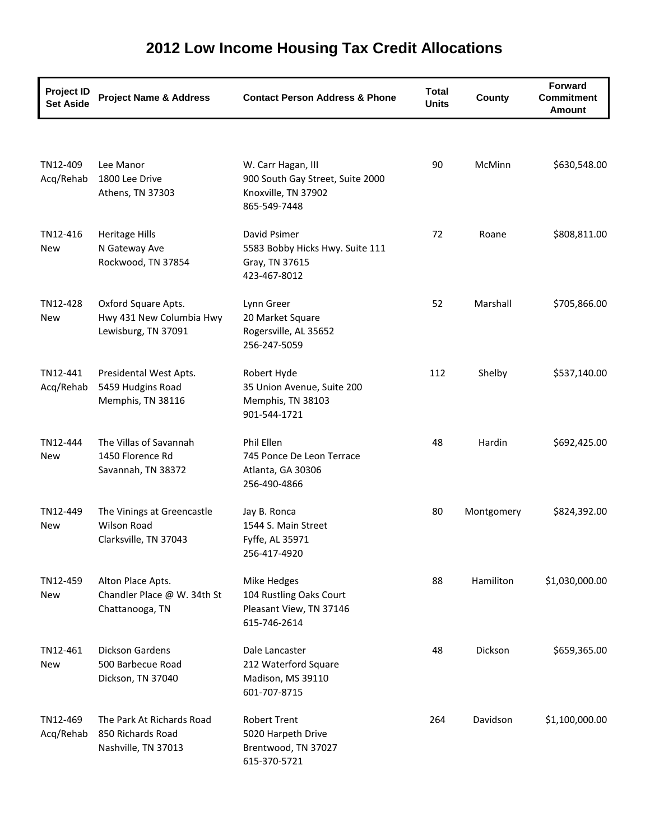| <b>Project ID</b><br><b>Set Aside</b> | <b>Project Name &amp; Address</b>                                         | <b>Contact Person Address &amp; Phone</b>                                                     | <b>Total</b><br><b>Units</b> | County     | <b>Forward</b><br><b>Commitment</b><br>Amount |
|---------------------------------------|---------------------------------------------------------------------------|-----------------------------------------------------------------------------------------------|------------------------------|------------|-----------------------------------------------|
|                                       |                                                                           |                                                                                               |                              |            |                                               |
| TN12-409<br>Acq/Rehab                 | Lee Manor<br>1800 Lee Drive<br>Athens, TN 37303                           | W. Carr Hagan, III<br>900 South Gay Street, Suite 2000<br>Knoxville, TN 37902<br>865-549-7448 | 90                           | McMinn     | \$630,548.00                                  |
| TN12-416<br>New                       | <b>Heritage Hills</b><br>N Gateway Ave<br>Rockwood, TN 37854              | David Psimer<br>5583 Bobby Hicks Hwy. Suite 111<br>Gray, TN 37615<br>423-467-8012             | 72                           | Roane      | \$808,811.00                                  |
| TN12-428<br>New                       | Oxford Square Apts.<br>Hwy 431 New Columbia Hwy<br>Lewisburg, TN 37091    | Lynn Greer<br>20 Market Square<br>Rogersville, AL 35652<br>256-247-5059                       | 52                           | Marshall   | \$705,866.00                                  |
| TN12-441<br>Acq/Rehab                 | Presidental West Apts.<br>5459 Hudgins Road<br>Memphis, TN 38116          | Robert Hyde<br>35 Union Avenue, Suite 200<br>Memphis, TN 38103<br>901-544-1721                | 112                          | Shelby     | \$537,140.00                                  |
| TN12-444<br><b>New</b>                | The Villas of Savannah<br>1450 Florence Rd<br>Savannah, TN 38372          | Phil Ellen<br>745 Ponce De Leon Terrace<br>Atlanta, GA 30306<br>256-490-4866                  | 48                           | Hardin     | \$692,425.00                                  |
| TN12-449<br><b>New</b>                | The Vinings at Greencastle<br><b>Wilson Road</b><br>Clarksville, TN 37043 | Jay B. Ronca<br>1544 S. Main Street<br>Fyffe, AL 35971<br>256-417-4920                        | 80                           | Montgomery | \$824,392.00                                  |
| TN12-459<br>New                       | Alton Place Apts.<br>Chandler Place @ W. 34th St<br>Chattanooga, TN       | Mike Hedges<br>104 Rustling Oaks Court<br>Pleasant View, TN 37146<br>615-746-2614             | 88                           | Hamiliton  | \$1,030,000.00                                |
| TN12-461<br>New                       | Dickson Gardens<br>500 Barbecue Road<br>Dickson, TN 37040                 | Dale Lancaster<br>212 Waterford Square<br>Madison, MS 39110<br>601-707-8715                   | 48                           | Dickson    | \$659,365.00                                  |
| TN12-469<br>Acq/Rehab                 | The Park At Richards Road<br>850 Richards Road<br>Nashville, TN 37013     | <b>Robert Trent</b><br>5020 Harpeth Drive<br>Brentwood, TN 37027<br>615-370-5721              | 264                          | Davidson   | \$1,100,000.00                                |

## **2012 Low Income Housing Tax Credit Allocations**